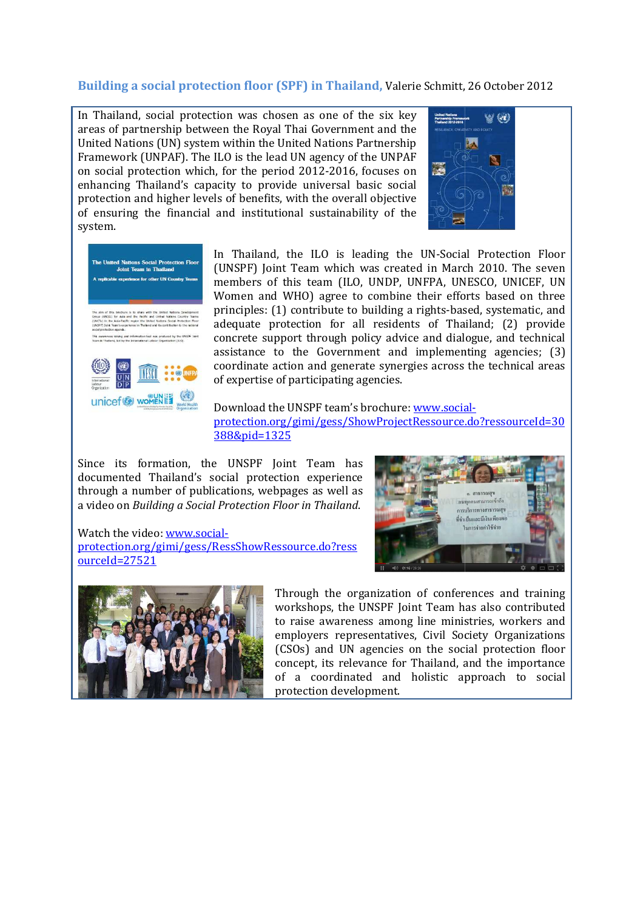## **Building a social protection floor (SPF) in Thailand,** Valerie Schmitt, 26 October 2012

In Thailand, social protection was chosen as one of the six key areas of partnership between the Royal Thai Government and the United Nations (UN) system within the United Nations Partnership Framework (UNPAF). The ILO is the lead UN agency of the UNPAF on social protection which, for the period 2012 , 2012-2016, focuses on enhancing Thailand's capacity to provide universal basic social protection and higher levels of benefits, with the overall objective of ensuring the financial and institutional sustainability of the system.





In Thailand, the ILO is leading the UN-Social Protection Floor In Thailand, the ILO is leading the UN-Social Protection Floor<br>(UNSPF) Joint Team which was created in March 2010. The seven members of this team (ILO, UNDP, UNFPA, UNESCO, UNICEF, UN Women and WHO) agree to combine their efforts based on three principles: (1) contribute to building a rights-based, systematic, and adequate protection for all residents of Thailand; (2) provide concrete support through policy advice and dialogue, and technical assistance to the Government and implementing agencies; (3) coordinate action and generate synergies across the technical areas of expertise of participating agencies. rights-based,<br>ts of Thailan<br>e and dialogue<br>implementing<br>ies across the<br>www.social-

Download the UNSPF team's brochure: www.social protection.org/gimi/gess/ShowProjectRessource.do?ressourceId=30 388&pid=1325

Since its formation, the UNSPF Joint Team has documented Thailand's social protection experience through a number of publications, webpages as well as a video on *Building a Social Protection Floor in Thailand* .

Watch the video: www.socialprotection.org/gimi/gess/RessShowRessource.do?ress ourceId=27521





Through the organization of conferences and training workshops, the UNSPF Joint Team has also contributed , to raise awareness among line ministries, workers and employers representatives, Civil Society Organizations (CSOs) and UN agencies on the social protection floor concept, its relevance for Thailand, and the importance of a coordinated and holistic approach to social protection development.